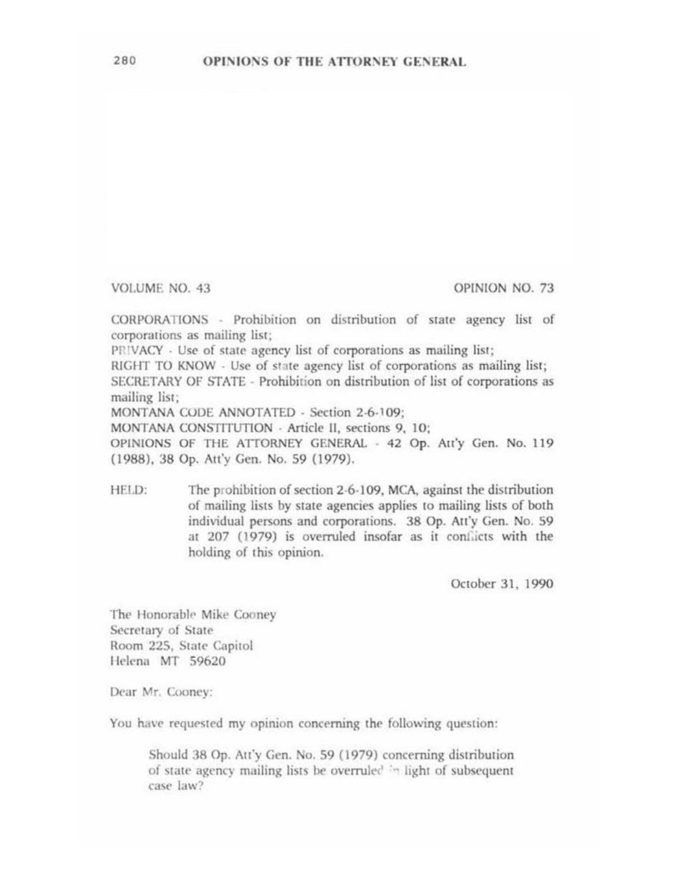VOLUME NO. 43

OPINION NO. 73

CORPORATIONS - Prohibition on distribution of state agency list of corporations as mailing list;

PRIVACY - Use of state agency list of corporations as mailing list;

RIGHT TO KNOW - Use of state agency list of corporations as mailing list; SECRETARY OF STATE - Prohibition on distribution of list of corporations as mailing list:

MONTANA CODE ANNOTATED - Section 2-6-109;

MONTANA CONSTITUTION - Article II, sections 9, 10;

OPINIONS OF THE ATTORNEY GENERAL - 42 Op. Att'y Gen. No. 119 (1988), 38 Op. Att'y Gen. No. 59 (1979).

The prohibition of section 2-6-109, MCA, against the distribution HELD: of mailing lists by state agencies applies to mailing lists of both individual persons and corporations. 38 Op. Att'y Gen. No. 59 at 207 (1979) is overruled insofar as it conflicts with the holding of this opinion.

October 31, 1990

The Honorable Mike Cooney Secretary of State Room 225, State Capitol Helena MT 59620

Dear Mr. Cooney:

You have requested my opinion concerning the following question:

Should 38 Op. Att'y Gen. No. 59 (1979) concerning distribution of state agency mailing lists be overruled in light of subsequent case law?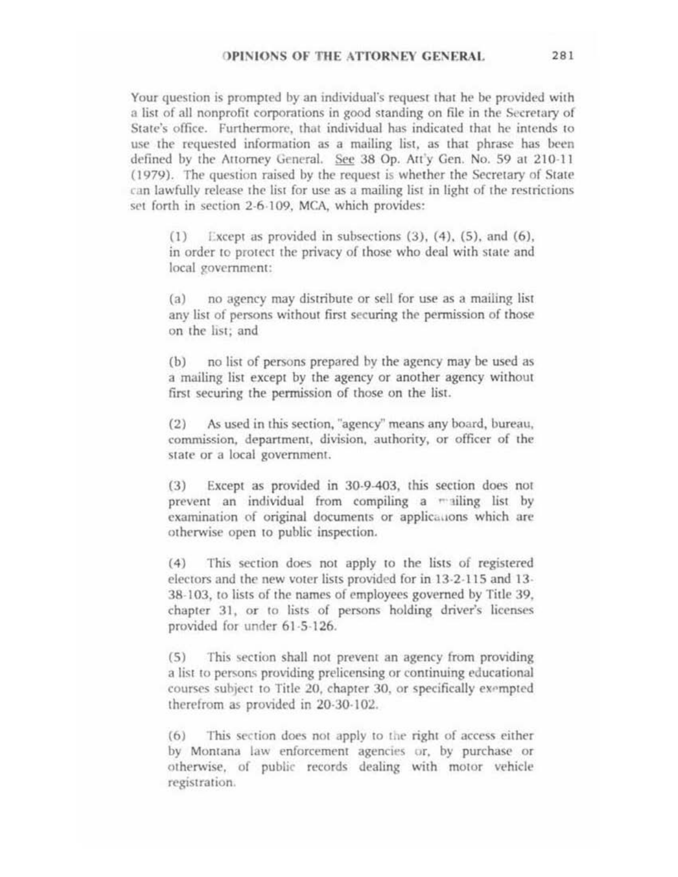Your question is prompted by an individual's request that he be provided with a list of all nonprofit corporations in good standing on file in the Secretary of State's office. Furthermore, that individual has indicated that he intends to use the requested information as a mailing list, as that phrase has been defined by the Attorney General. See 38 Op. Att'y Gen. No. 59 at 210-11 (1979). The question raised by the request is whether the Secretary of State can lawfully release the list for use as a mailing list in light of the restrictions set forth in section 2-6-109, MCA, which provides:

Except as provided in subsections  $(3)$ ,  $(4)$ ,  $(5)$ , and  $(6)$ ,  $(1)$ in order to protect the privacy of those who deal with state and local government:

no agency may distribute or sell for use as a mailing list  $(a)$ any list of persons without first securing the permission of those on the list; and

no list of persons prepared by the agency may be used as  $(b)$ a mailing list except by the agency or another agency without first securing the permission of those on the list.

As used in this section, "agency" means any board, bureau,  $(2)$ commission, department, division, authority, or officer of the state or a local government.

Except as provided in 30-9-403, this section does not  $(3)$ prevent an individual from compiling a mailing list by examination of original documents or applications which are otherwise open to public inspection.

This section does not apply to the lists of registered  $(4)$ electors and the new voter lists provided for in 13-2-115 and 13-38-103, to lists of the names of employees governed by Title 39, chapter 31, or to lists of persons holding driver's licenses provided for under 61-5-126.

This section shall not prevent an agency from providing  $(5)$ a list to persons providing prelicensing or continuing educational courses subject to Title 20, chapter 30, or specifically exempted therefrom as provided in 20-30-102.

This section does not apply to the right of access either  $(6)$ by Montana law enforcement agencies or, by purchase or otherwise, of public records dealing with motor vehicle registration.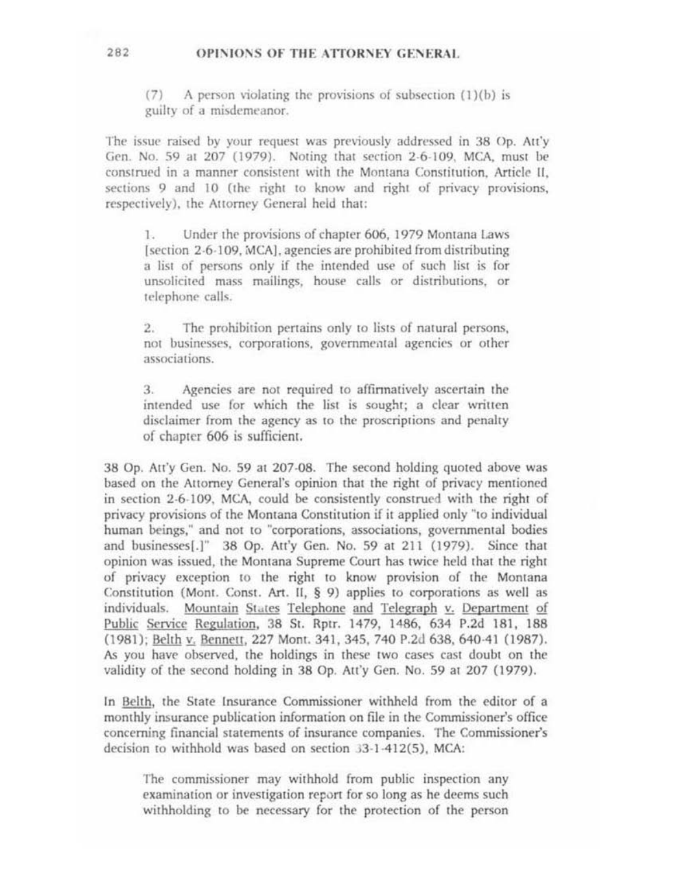## OPINIONS OF THE ATTORNEY GENERAL

A person violating the provisions of subsection (1)(b) is  $(7)$ guilty of a misdemeanor.

The issue raised by your request was previously addressed in 38 Op. Att'y Gen. No. 59 at 207 (1979). Noting that section 2-6-109, MCA, must be construed in a manner consistent with the Montana Constitution. Article II. sections 9 and 10 (the right to know and right of privacy provisions, respectively), the Attorney General held that:

Under the provisions of chapter 606, 1979 Montana Laws  $1$ [section 2-6-109, MCA], agencies are prohibited from distributing a list of persons only if the intended use of such list is for unsolicited mass mailings, house calls or distributions, or telephone calls.

 $2.1$ The prohibition pertains only to lists of natural persons, not businesses, corporations, governmental agencies or other associations.

Agencies are not required to affirmatively ascertain the  $3.$ intended use for which the list is sought; a clear written disclaimer from the agency as to the proscriptions and penalty of chapter 606 is sufficient.

38 Op. Att'y Gen. No. 59 at 207-08. The second holding quoted above was based on the Attorney General's opinion that the right of privacy mentioned in section 2-6-109, MCA, could be consistently construed with the right of privacy provisions of the Montana Constitution if it applied only "to individual human beings," and not to "corporations, associations, governmental bodies and businesses[.]" 38 Op. Att'y Gen. No. 59 at 211 (1979). Since that opinion was issued, the Montana Supreme Court has twice held that the right of privacy exception to the right to know provision of the Montana Constitution (Mont. Const. Art. II, § 9) applies to corporations as well as individuals. Mountain States Telephone and Telegraph v. Department of Public Service Regulation, 38 St. Rptr. 1479, 1486, 634 P.2d 181, 188 (1981); Belth v. Bennett, 227 Mont. 341, 345, 740 P.2d 638, 640-41 (1987). As you have observed, the holdings in these two cases cast doubt on the validity of the second holding in 38 Op. Att'y Gen. No. 59 at 207 (1979).

In Belth, the State Insurance Commissioner withheld from the editor of a monthly insurance publication information on file in the Commissioner's office concerning financial statements of insurance companies. The Commissioner's decision to withhold was based on section 33-1-412(5). MCA:

The commissioner may withhold from public inspection any examination or investigation report for so long as he deems such withholding to be necessary for the protection of the person

282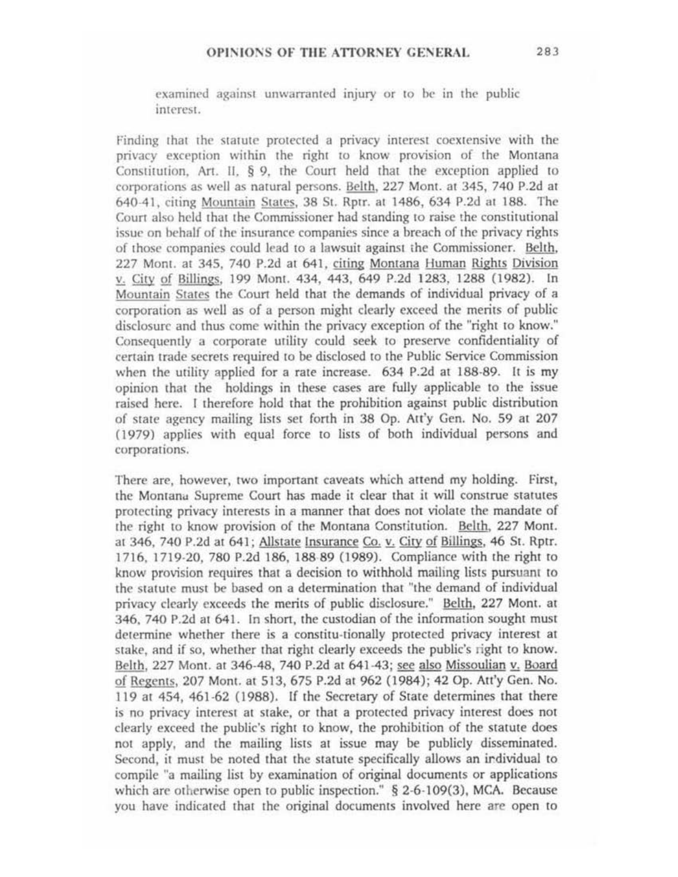examined against unwarranted injury or to be in the public interest.

Finding that the statute protected a privacy interest coextensive with the privacy exception within the right to know provision of the Montana Constitution. Art. II.  $\S$  9. the Court held that the exception applied to corporations as well as natural persons. Belth, 227 Mont. at 345, 740 P.2d at 640-41, citing Mountain States, 38 St. Rptr. at 1486, 634 P.2d at 188. The Court also held that the Commissioner had standing to raise the constitutional issue on behalf of the insurance companies since a breach of the privacy rights of those companies could lead to a lawsuit against ;he Commissioner. Belth, 227 Mont. at 345, 740 P.2d at 641. citing Montana Human Rights Division v. City of Billings, 199 Mont. 434, 443, 649 P.2d 1283, 1288 (1982). In Mountain Stares the Court held that the demands of individual privacy of a corporation as well as of a person might clearly exceed the merits of public disclosure and thus come within the privacy exception of the "right to know." Consequently a corporate utility could seek to preserve confidentiality of certain trade secrets required to be disclosed to the Public Service Commission when the utility applied for a rate increase. 634 P.2d at 188·89. It is my opinion that the holdings in these cases are fully applicable to the issue raised here. I therefore hold that the prohibition against public distribution of state agency mailing lists set forth in 38 Op. Au'y Gen. No. 59 at 207 (1979) applies with equal force to lists of both individual persons and corporations.

There are, however, two important caveats which attend my holding. First, the Montana Supreme Court has made it clear that it will construe statutes protecting privacy interests in a manner that docs not violate the mandate of the right to know provision of the Momana Constitution. Belth, 227 Mont. at 346, 740 P.2d at 641; Allstate Insurance Co. v. City of Billings, 46 St. Rptr. 1716, 1719·20, 780 P.2d 186, 188 89 (1989). Compliance with the right ro know provision requires that a decision to withhold mailing lists pursuant to the statute must be based on a determination that "the demand of individual privacy clearly exceeds the merits of public disclosure." Belth, 227 Mont. at 346, 740 P.2d at 641. In short, the custodian of the information sought must determine whether there is a constitu·rionally protected privacy interest at stake, and if so, whether that right clearly exceeds the public's right to know. Belth, 227 Mont. at 346-48, 740 P.2d at 641-43; see also Missoulian v. Board of Regents, 207 Mont. at 513,675 P.2d at 962 (1984); 42 Op. Att'y Gen. No. 119 at 454, 461·62 (1988). If the Secretary of Stare determines that there is no privacy inrercst at stake, or that a protected privacy interest docs not clearly exceed the public's right to know, the prohibition of the statute does not apply, and the mailing lists at issue may be publicly disseminated. Second, it must be noted that the statute specifically allows an irdividual to compile "a mailing list by examination of original documents or applications which are otherwise open to public inspection." § 2-6-109(3), MCA. Because you have indicated that the original documents involved here are open to